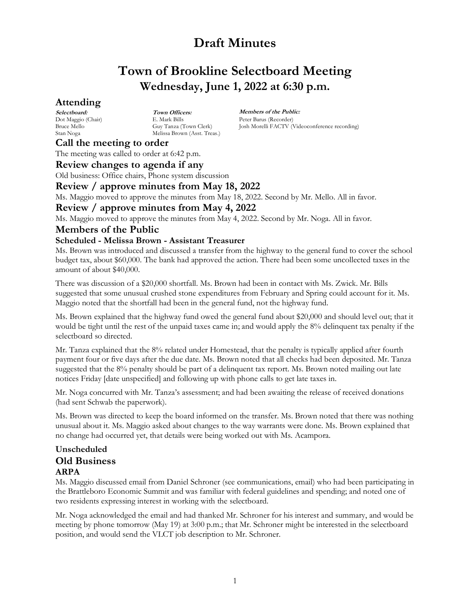## **Town of Brookline Selectboard Meeting Wednesday, June 1, 2022 at 6:30 p.m.**

## **Attending**

**Selectboard:** Dot Maggio (Chair) Bruce Mello Stan Noga

**Town Officers:** E. Mark Bills Guy Tanza (Town Clerk) Melissa Brown (Asst. Treas.)

**Members of the Public:** Peter Barus (Recorder) Josh Morelli FACTV (Videoconference recording)

## **Call the meeting to order**

The meeting was called to order at 6:42 p.m.

### **Review changes to agenda if any**

Old business: Office chairs, Phone system discussion

## **Review / approve minutes from May 18, 2022**

Ms. Maggio moved to approve the minutes from May 18, 2022. Second by Mr. Mello. All in favor.

## **Review / approve minutes from May 4, 2022**

Ms. Maggio moved to approve the minutes from May 4, 2022. Second by Mr. Noga. All in favor.

## **Members of the Public**

### **Scheduled - Melissa Brown - Assistant Treasurer**

Ms. Brown was introduced and discussed a transfer from the highway to the general fund to cover the school budget tax, about \$60,000. The bank had approved the action. There had been some uncollected taxes in the amount of about \$40,000.

There was discussion of a \$20,000 shortfall. Ms. Brown had been in contact with Ms. Zwick. Mr. Bills suggested that some unusual crushed stone expenditures from February and Spring could account for it. Ms. Maggio noted that the shortfall had been in the general fund, not the highway fund.

Ms. Brown explained that the highway fund owed the general fund about \$20,000 and should level out; that it would be tight until the rest of the unpaid taxes came in; and would apply the 8% delinquent tax penalty if the selectboard so directed.

Mr. Tanza explained that the 8% related under Homestead, that the penalty is typically applied after fourth payment four or five days after the due date. Ms. Brown noted that all checks had been deposited. Mr. Tanza suggested that the 8% penalty should be part of a delinquent tax report. Ms. Brown noted mailing out late notices Friday [date unspecified] and following up with phone calls to get late taxes in.

Mr. Noga concurred with Mr. Tanza's assessment; and had been awaiting the release of received donations (had sent Schwab the paperwork).

Ms. Brown was directed to keep the board informed on the transfer. Ms. Brown noted that there was nothing unusual about it. Ms. Maggio asked about changes to the way warrants were done. Ms. Brown explained that no change had occurred yet, that details were being worked out with Ms. Acampora.

## **Unscheduled Old Business ARPA**

Ms. Maggio discussed email from Daniel Schroner (see communications, email) who had been participating in the Brattleboro Economic Summit and was familiar with federal guidelines and spending; and noted one of two residents expressing interest in working with the selectboard.

Mr. Noga acknowledged the email and had thanked Mr. Schroner for his interest and summary, and would be meeting by phone tomorrow (May 19) at 3:00 p.m.; that Mr. Schroner might be interested in the selectboard position, and would send the VLCT job description to Mr. Schroner.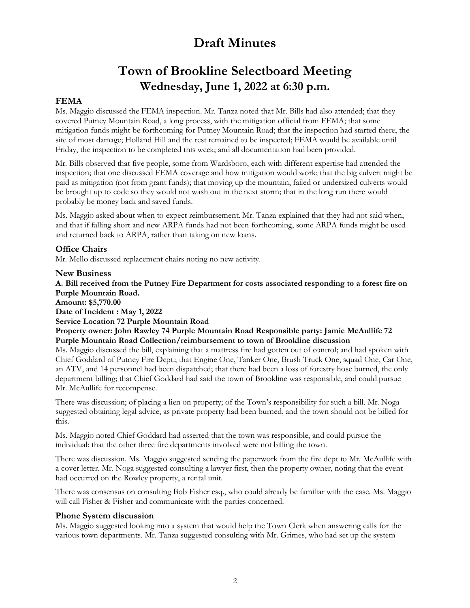## **Town of Brookline Selectboard Meeting Wednesday, June 1, 2022 at 6:30 p.m.**

### **FEMA**

Ms. Maggio discussed the FEMA inspection. Mr. Tanza noted that Mr. Bills had also attended; that they covered Putney Mountain Road, a long process, with the mitigation official from FEMA; that some mitigation funds might be forthcoming for Putney Mountain Road; that the inspection had started there, the site of most damage; Holland Hill and the rest remained to be inspected; FEMA would be available until Friday, the inspection to be completed this week; and all documentation had been provided.

Mr. Bills observed that five people, some from Wardsboro, each with different expertise had attended the inspection; that one discussed FEMA coverage and how mitigation would work; that the big culvert might be paid as mitigation (not from grant funds); that moving up the mountain, failed or undersized culverts would be brought up to code so they would not wash out in the next storm; that in the long run there would probably be money back and saved funds.

Ms. Maggio asked about when to expect reimbursement. Mr. Tanza explained that they had not said when, and that if falling short and new ARPA funds had not been forthcoming, some ARPA funds might be used and returned back to ARPA, rather than taking on new loans.

#### **Office Chairs**

Mr. Mello discussed replacement chairs noting no new activity.

#### **New Business**

**A. Bill received from the Putney Fire Department for costs associated responding to a forest fire on Purple Mountain Road.** 

**Amount: \$5,770.00**

#### **Date of Incident : May 1, 2022**

**Service Location 72 Purple Mountain Road**

**Property owner: John Rawley 74 Purple Mountain Road Responsible party: Jamie McAullife 72 Purple Mountain Road Collection/reimbursement to town of Brookline discussion** 

Ms. Maggio discussed the bill, explaining that a mattress fire had gotten out of control; and had spoken with Chief Goddard of Putney Fire Dept.; that Engine One, Tanker One, Brush Truck One, squad One, Car One, an ATV, and 14 personnel had been dispatched; that there had been a loss of forestry hose burned, the only department billing; that Chief Goddard had said the town of Brookline was responsible, and could pursue Mr. McAullife for recompense.

There was discussion; of placing a lien on property; of the Town's responsibility for such a bill. Mr. Noga suggested obtaining legal advice, as private property had been burned, and the town should not be billed for this.

Ms. Maggio noted Chief Goddard had asserted that the town was responsible, and could pursue the individual; that the other three fire departments involved were not billing the town.

There was discussion. Ms. Maggio suggested sending the paperwork from the fire dept to Mr. McAullife with a cover letter. Mr. Noga suggested consulting a lawyer first, then the property owner, noting that the event had occurred on the Rowley property, a rental unit.

There was consensus on consulting Bob Fisher esq., who could already be familiar with the case. Ms. Maggio will call Fisher & Fisher and communicate with the parties concerned.

#### **Phone System discussion**

Ms. Maggio suggested looking into a system that would help the Town Clerk when answering calls for the various town departments. Mr. Tanza suggested consulting with Mr. Grimes, who had set up the system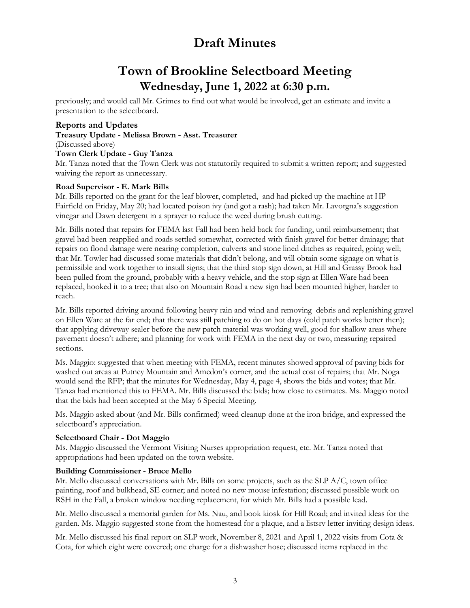# **Town of Brookline Selectboard Meeting Wednesday, June 1, 2022 at 6:30 p.m.**

previously; and would call Mr. Grimes to find out what would be involved, get an estimate and invite a presentation to the selectboard.

#### **Reports and Updates**

**Treasury Update - Melissa Brown - Asst. Treasurer**  (Discussed above) **Town Clerk Update - Guy Tanza**  Mr. Tanza noted that the Town Clerk was not statutorily required to submit a written report; and suggested waiving the report as unnecessary.

#### **Road Supervisor - E. Mark Bills**

Mr. Bills reported on the grant for the leaf blower, completed, and had picked up the machine at HP Fairfield on Friday, May 20; had located poison ivy (and got a rash); had taken Mr. Lavorgna's suggestion vinegar and Dawn detergent in a sprayer to reduce the weed during brush cutting.

Mr. Bills noted that repairs for FEMA last Fall had been held back for funding, until reimbursement; that gravel had been reapplied and roads settled somewhat, corrected with finish gravel for better drainage; that repairs on flood damage were nearing completion, culverts and stone lined ditches as required, going well; that Mr. Towler had discussed some materials that didn't belong, and will obtain some signage on what is permissible and work together to install signs; that the third stop sign down, at Hill and Grassy Brook had been pulled from the ground, probably with a heavy vehicle, and the stop sign at Ellen Ware had been replaced, hooked it to a tree; that also on Mountain Road a new sign had been mounted higher, harder to reach.

Mr. Bills reported driving around following heavy rain and wind and removing debris and replenishing gravel on Ellen Ware at the far end; that there was still patching to do on hot days (cold patch works better then); that applying driveway sealer before the new patch material was working well, good for shallow areas where pavement doesn't adhere; and planning for work with FEMA in the next day or two, measuring repaired sections.

Ms. Maggio: suggested that when meeting with FEMA, recent minutes showed approval of paving bids for washed out areas at Putney Mountain and Amedon's corner, and the actual cost of repairs; that Mr. Noga would send the RFP; that the minutes for Wednesday, May 4, page 4, shows the bids and votes; that Mr. Tanza had mentioned this to FEMA. Mr. Bills discussed the bids; how close to estimates. Ms. Maggio noted that the bids had been accepted at the May 6 Special Meeting.

Ms. Maggio asked about (and Mr. Bills confirmed) weed cleanup done at the iron bridge, and expressed the selectboard's appreciation.

#### **Selectboard Chair - Dot Maggio**

Ms. Maggio discussed the Vermont Visiting Nurses appropriation request, etc. Mr. Tanza noted that appropriations had been updated on the town website.

#### **Building Commissioner - Bruce Mello**

Mr. Mello discussed conversations with Mr. Bills on some projects, such as the SLP A/C, town office painting, roof and bulkhead, SE corner; and noted no new mouse infestation; discussed possible work on RSH in the Fall, a broken window needing replacement, for which Mr. Bills had a possible lead.

Mr. Mello discussed a memorial garden for Ms. Nau, and book kiosk for Hill Road; and invited ideas for the garden. Ms. Maggio suggested stone from the homestead for a plaque, and a listsrv letter inviting design ideas.

Mr. Mello discussed his final report on SLP work, November 8, 2021 and April 1, 2022 visits from Cota & Cota, for which eight were covered; one charge for a dishwasher hose; discussed items replaced in the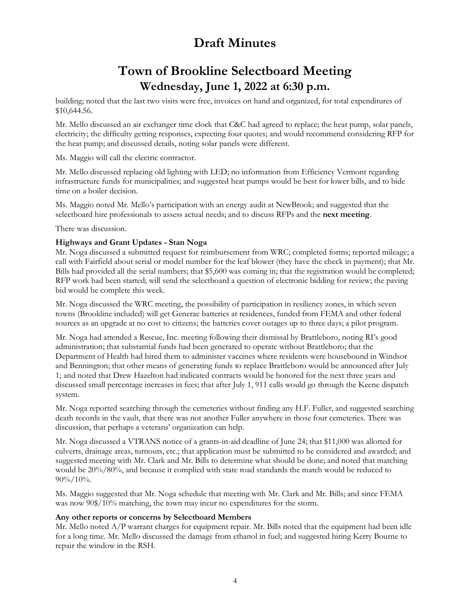## **Town of Brookline Selectboard Meeting Wednesday, June 1, 2022 at 6:30 p.m.**

building; noted that the last two visits were free, invoices on hand and organized, for total expenditures of \$10,644.56.

Mr. Mello discussed an air exchanger time clock that C&C had agreed to replace; the heat pump, solar panels, electricity; the difficulty getting responses, expecting four quotes; and would recommend considering RFP for the heat pump; and discussed details, noting solar panels were different.

Ms. Maggio will call the electric contractor.

Mr. Mello discussed replacing old lighting with LED; no information from Efficiency Vermont regarding infrastructure funds for municipalities; and suggested heat pumps would be best for lower bills, and to bide time on a boiler decision.

Ms. Maggio noted Mr. Mello's participation with an energy audit at NewBrook; and suggested that the selectboard hire professionals to assess actual needs; and to discuss RFPs and the **next meeting**.

There was discussion.

#### **Highways and Grant Updates - Stan Noga**

Mr. Noga discussed a submitted request for reimbursement from WRC; completed forms; reported mileage; a call with Fairfield about serial or model number for the leaf blower (they have the check in payment); that Mr. Bills had provided all the serial numbers; that \$5,600 was coming in; that the registration would be completed; RFP work had been started; will send the selectboard a question of electronic bidding for review; the paving bid would be complete this week.

Mr. Noga discussed the WRC meeting, the possibility of participation in resiliency zones, in which seven towns (Brookline included) will get Generac batteries at residences, funded from FEMA and other federal sources as an upgrade at no cost to citizens; the batteries cover outages up to three days; a pilot program.

Mr. Noga had attended a Rescue, Inc. meeting following their dismissal by Brattleboro, noting RI's good administration; that substantial funds had been generated to operate without Brattleboro; that the Department of Health had hired them to administer vaccines where residents were housebound in Windsor and Bennington; that other means of generating funds to replace Brattleboro would be announced after July 1; and noted that Drew Hazelton had indicated contracts would be honored for the next three years and discussed small percentage increases in fees; that after July 1, 911 calls would go through the Keene dispatch system.

Mr. Noga reported searching through the cemeteries without finding any H.F. Fuller, and suggested searching death records in the vault, that there was not another Fuller anywhere in those four cemeteries. There was discussion, that perhaps a veterans' organization can help.

Mr. Noga discussed a VTRANS notice of a grants-in-aid deadline of June 24; that \$11,000 was allotted for culverts, drainage areas, turnouts, etc.; that application must be submitted to be considered and awarded; and suggested meeting with Mr. Clark and Mr. Bills to determine what should be done; and noted that matching would be 20%/80%, and because it complied with state road standards the match would be reduced to  $90\%/10\%.$ 

Ms. Maggio suggested that Mr. Noga schedule that meeting with Mr. Clark and Mr. Bills; and since FEMA was now  $90\frac{1}{9}\times 10\%$  matching, the town may incur no expenditures for the storm.

#### **Any other reports or concerns by Selectboard Members**

Mr. Mello noted  $A/P$  warrant charges for equipment repair. Mr. Bills noted that the equipment had been idle for a long time. Mr. Mello discussed the damage from ethanol in fuel; and suggested hiring Kerry Bourne to repair the window in the RSH.